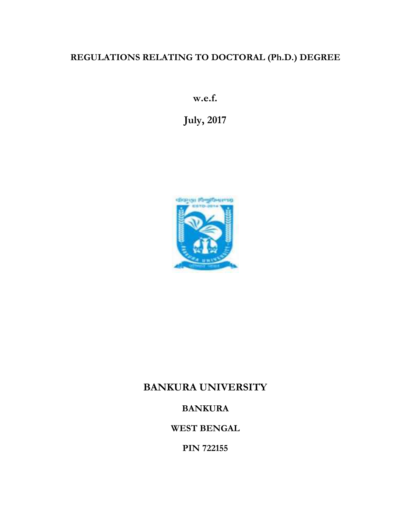# **REGULATIONS RELATING TO DOCTORAL (Ph.D.) DEGREE**

**w.e.f.**

**July, 2017**



# **BANKURA UNIVERSITY**

## **BANKURA**

**WEST BENGAL**

**PIN 722155**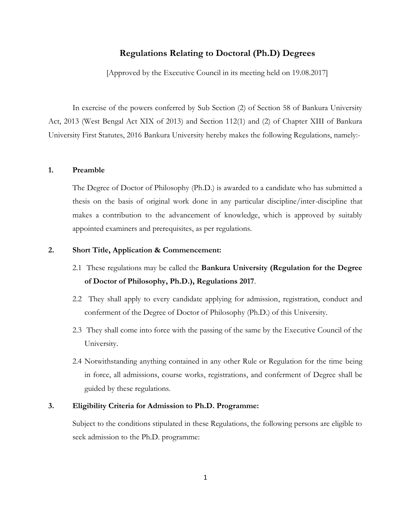## **Regulations Relating to Doctoral (Ph.D) Degrees**

[Approved by the Executive Council in its meeting held on 19.08.2017]

In exercise of the powers conferred by Sub Section (2) of Section 58 of Bankura University Act, 2013 (West Bengal Act XIX of 2013) and Section 112(1) and (2) of Chapter XIII of Bankura University First Statutes, 2016 Bankura University hereby makes the following Regulations, namely:-

#### **1. Preamble**

The Degree of Doctor of Philosophy (Ph.D.) is awarded to a candidate who has submitted a thesis on the basis of original work done in any particular discipline/inter-discipline that makes a contribution to the advancement of knowledge, which is approved by suitably appointed examiners and prerequisites, as per regulations.

#### **2. Short Title, Application & Commencement:**

- 2.1 These regulations may be called the **Bankura University (Regulation for the Degree of Doctor of Philosophy, Ph.D.), Regulations 2017**.
- 2.2 They shall apply to every candidate applying for admission, registration, conduct and conferment of the Degree of Doctor of Philosophy (Ph.D.) of this University.
- 2.3 They shall come into force with the passing of the same by the Executive Council of the University.
- 2.4 Notwithstanding anything contained in any other Rule or Regulation for the time being in force, all admissions, course works, registrations, and conferment of Degree shall be guided by these regulations.

## **3. Eligibility Criteria for Admission to Ph.D. Programme:**

Subject to the conditions stipulated in these Regulations, the following persons are eligible to seek admission to the Ph.D. programme: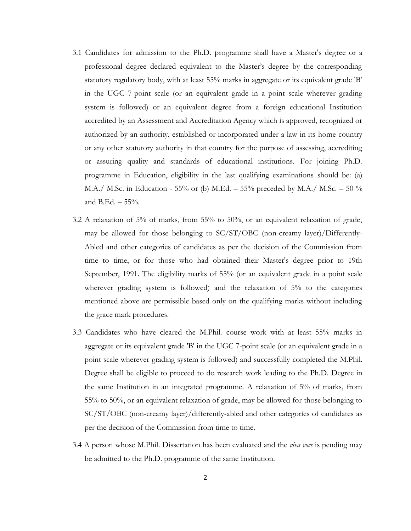- 3.1 Candidates for admission to the Ph.D. programme shall have a Master's degree or a professional degree declared equivalent to the Master's degree by the corresponding statutory regulatory body, with at least 55% marks in aggregate or its equivalent grade 'B' in the UGC 7-point scale (or an equivalent grade in a point scale wherever grading system is followed) or an equivalent degree from a foreign educational Institution accredited by an Assessment and Accreditation Agency which is approved, recognized or authorized by an authority, established or incorporated under a law in its home country or any other statutory authority in that country for the purpose of assessing, accrediting or assuring quality and standards of educational institutions. For joining Ph.D. programme in Education, eligibility in the last qualifying examinations should be: (a) M.A./ M.Sc. in Education - 55% or (b) M.Ed. – 55% preceded by M.A./ M.Sc. – 50 % and B.Ed. – 55%.
- 3.2 A relaxation of 5% of marks, from 55% to 50%, or an equivalent relaxation of grade, may be allowed for those belonging to SC/ST/OBC (non-creamy layer)/Differently- Abled and other categories of candidates as per the decision of the Commission from time to time, or for those who had obtained their Master's degree prior to 19th September, 1991. The eligibility marks of 55% (or an equivalent grade in a point scale wherever grading system is followed) and the relaxation of 5% to the categories mentioned above are permissible based only on the qualifying marks without including the grace mark procedures.
- 3.3 Candidates who have cleared the M.Phil. course work with at least 55% marks in aggregate or its equivalent grade 'B' in the UGC 7-point scale (or an equivalent grade in a point scale wherever grading system is followed) and successfully completed the M.Phil. Degree shall be eligible to proceed to do research work leading to the Ph.D. Degree in the same Institution in an integrated programme. A relaxation of 5% of marks, from 55% to 50%, or an equivalent relaxation of grade, may be allowed for those belonging to SC/ST/OBC (non-creamy layer)/differently-abled and other categories of candidates as per the decision of the Commission from time to time.
- 3.4 A person whose M.Phil. Dissertation has been evaluated and the *viva voce* is pending may be admitted to the Ph.D. programme of the same Institution.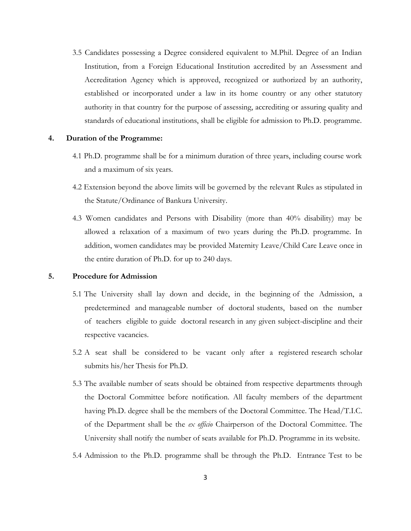3.5 Candidates possessing a Degree considered equivalent to M.Phil. Degree of an Indian Institution, from a Foreign Educational Institution accredited by an Assessment and Accreditation Agency which is approved, recognized or authorized by an authority, established or incorporated under a law in its home country or any other statutory authority in that country for the purpose of assessing, accrediting or assuring quality and standards of educational institutions, shall be eligible for admission to Ph.D. programme.

#### **4. Duration of the Programme:**

- 4.1 Ph.D. programme shall be for a minimum duration of three years, including course work and a maximum of six years.
- 4.2 Extension beyond the above limits will be governed by the relevant Rules as stipulated in the Statute/Ordinance of Bankura University.
- 4.3 Women candidates and Persons with Disability (more than 40% disability) may be allowed a relaxation of a maximum of two years during the Ph.D. programme. In addition, women candidates may be provided Maternity Leave/Child Care Leave once in the entire duration of Ph.D. for up to 240 days.

### **5. Procedure for Admission**

- 5.1 The University shall lay down and decide, in the beginning of the Admission, a predetermined and manageable number of doctoral students, based on the number of teachers eligible to guide doctoral research in any given subject-discipline and their respective vacancies.
- 5.2 A seat shall be considered to be vacant only after a registered research scholar submits his/her Thesis for Ph.D.
- 5.3 The available number of seats should be obtained from respective departments through the Doctoral Committee before notification. All faculty members of the department having Ph.D. degree shall be the members of the Doctoral Committee. The Head/T.I.C. of the Department shall be the *ex officio* Chairperson of the Doctoral Committee. The University shall notify the number of seats available for Ph.D. Programme in its website.
- 5.4 Admission to the Ph.D. programme shall be through the Ph.D. Entrance Test to be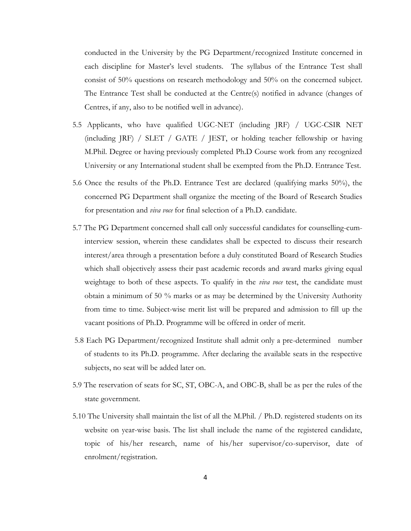conducted in the University by the PG Department/recognized Institute concerned in each discipline for Master's level students. The syllabus of the Entrance Test shall consist of 50% questions on research methodology and 50% on the concerned subject. The Entrance Test shall be conducted at the Centre(s) notified in advance (changes of Centres, if any, also to be notified well in advance).

- 5.5 Applicants, who have qualified UGC-NET (including JRF) / UGC-CSIR NET (including JRF) / SLET / GATE / JEST, or holding teacher fellowship or having M.Phil. Degree or having previously completed Ph.D Course work from any recognized University or any International student shall be exempted from the Ph.D. Entrance Test.
- 5.6 Once the results of the Ph.D. Entrance Test are declared (qualifying marks 50%), the concerned PG Department shall organize the meeting of the Board of Research Studies for presentation and *viva voce* for final selection of a Ph.D. candidate.
- 5.7 The PG Department concerned shall call only successful candidates for counselling-cuminterview session, wherein these candidates shall be expected to discuss their research interest/area through a presentation before a duly constituted Board of Research Studies which shall objectively assess their past academic records and award marks giving equal weightage to both of these aspects. To qualify in the *viva voce* test, the candidate must obtain a minimum of 50 % marks or as may be determined by the University Authority from time to time. Subject-wise merit list will be prepared and admission to fill up the vacant positions of Ph.D. Programme will be offered in order of merit.
- 5.8 Each PG Department/recognized Institute shall admit only a pre-determined number of students to its Ph.D. programme. After declaring the available seats in the respective subjects, no seat will be added later on.
- 5.9 The reservation of seats for SC, ST, OBC-A, and OBC-B, shall be as per the rules of the state government.
- 5.10 The University shall maintain the list of all the M.Phil. / Ph.D. registered students on its website on year-wise basis. The list shall include the name of the registered candidate, topic of his/her research, name of his/her supervisor/co-supervisor, date of enrolment/registration.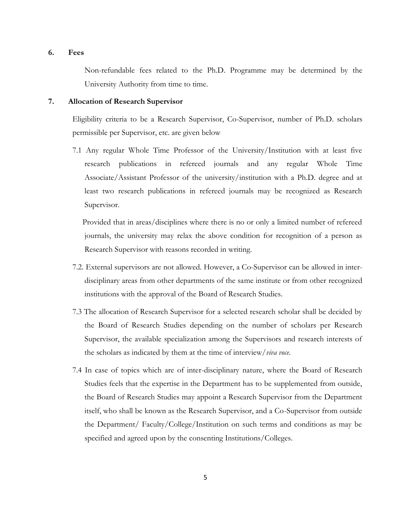#### **6. Fees**

Non-refundable fees related to the Ph.D. Programme may be determined by the University Authority from time to time.

#### **7. Allocation of Research Supervisor**

Eligibility criteria to be a Research Supervisor, Co-Supervisor, number of Ph.D. scholars permissible per Supervisor, etc. are given below

7.1 Any regular Whole Time Professor of the University/Institution with at least five research publications in refereed journals and any regular Whole Time Associate/Assistant Professor of the university/institution with a Ph.D. degree and at least two research publications in refereed journals may be recognized as Research Supervisor.

Provided that in areas/disciplines where there is no or only a limited number of refereed journals, the university may relax the above condition for recognition of a person as Research Supervisor with reasons recorded in writing.

- 7.2. External supervisors are not allowed. However, a Co-Supervisor can be allowed in inter disciplinary areas from other departments of the same institute or from other recognized institutions with the approval of the Board of Research Studies.
- 7.3 The allocation of Research Supervisor for a selected research scholar shall be decided by the Board of Research Studies depending on the number of scholars per Research Supervisor, the available specialization among the Supervisors and research interests of the scholars as indicated by them at the time of interview/*viva voce*.
- 7.4 In case of topics which are of inter-disciplinary nature, where the Board of Research Studies feels that the expertise in the Department has to be supplemented from outside, the Board of Research Studies may appoint a Research Supervisor from the Department itself, who shall be known as the Research Supervisor, and a Co-Supervisor from outside the Department/ Faculty/College/Institution on such terms and conditions as may be specified and agreed upon by the consenting Institutions/Colleges.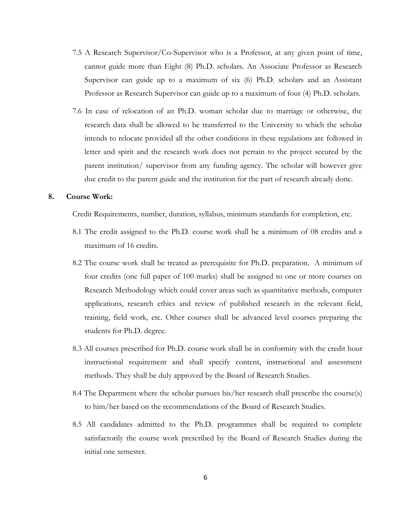- 7.5 A Research Supervisor/Co-Supervisor who is a Professor, at any given point of time, cannot guide more than Eight (8) Ph.D. scholars. An Associate Professor as Research Supervisor can guide up to a maximum of six (6) Ph.D. scholars and an Assistant Professor as Research Supervisor can guide up to a maximum of four (4) Ph.D. scholars.
- 7.6 In case of relocation of an Ph.D. woman scholar due to marriage or otherwise, the research data shall be allowed to be transferred to the University to which the scholar intends to relocate provided all the other conditions in these regulations are followed in letter and spirit and the research work does not pertain to the project secured by the parent institution/ supervisor from any funding agency. The scholar will however give due credit to the parent guide and the institution for the part of research already done.

#### **8. Course Work:**

Credit Requirements, number, duration, syllabus, minimum standards for completion, etc.

- 8.1 The credit assigned to the Ph.D. course work shall be a minimum of 08 credits and a maximum of 16 credits.
- 8.2 The course work shall be treated as prerequisite for Ph.D. preparation. A minimum of four credits (one full paper of 100 marks) shall be assigned to one or more courses on Research Methodology which could cover areas such as quantitative methods, computer applications, research ethics and review of published research in the relevant field, training, field work, etc. Other courses shall be advanced level courses preparing the students for Ph.D. degree.
- 8.3 All courses prescribed for Ph.D. course work shall be in conformity with the credit hour instructional requirement and shall specify content, instructional and assessment methods. They shall be duly approved by the Board of Research Studies.
- 8.4 The Department where the scholar pursues his/her research shall prescribe the course(s) to him/her based on the recommendations of the Board of Research Studies.
- 8.5 All candidates admitted to the Ph.D. programmes shall be required to complete satisfactorily the course work prescribed by the Board of Research Studies during the initial one semester.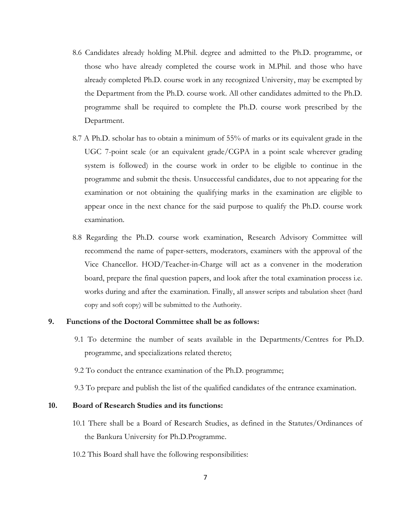- 8.6 Candidates already holding M.Phil. degree and admitted to the Ph.D. programme, or those who have already completed the course work in M.Phil. and those who have already completed Ph.D. course work in any recognized University, may be exempted by the Department from the Ph.D. course work. All other candidates admitted to the Ph.D. programme shall be required to complete the Ph.D. course work prescribed by the Department.
- 8.7 A Ph.D. scholar has to obtain a minimum of 55% of marks or its equivalent grade in the UGC 7-point scale (or an equivalent grade/CGPA in a point scale wherever grading system is followed) in the course work in order to be eligible to continue in the programme and submit the thesis. Unsuccessful candidates, due to not appearing for the examination or not obtaining the qualifying marks in the examination are eligible to appear once in the next chance for the said purpose to qualify the Ph.D. course work examination.
- 8.8 Regarding the Ph.D. course work examination, Research Advisory Committee will recommend the name of paper-setters, moderators, examiners with the approval of the Vice Chancellor. HOD/Teacher-in-Charge will act as a convener in the moderation board, prepare the final question papers, and look after the total examination process i.e. works during and after the examination. Finally, all answer scripts and tabulation sheet (hard copy and soft copy) will be submitted to the Authority.

## **9. Functions of the Doctoral Committee shall be as follows:**

- 9.1 To determine the number of seats available in the Departments/Centres for Ph.D. programme, and specializations related thereto;
- 9.2 To conduct the entrance examination of the Ph.D. programme;

9.3 To prepare and publish the list of the qualified candidates of the entrance examination.

### **10. Board of Research Studies and its functions:**

- 10.1 There shall be a Board of Research Studies, as defined in the Statutes/Ordinances of the Bankura University for Ph.D.Programme.
- 10.2 This Board shall have the following responsibilities: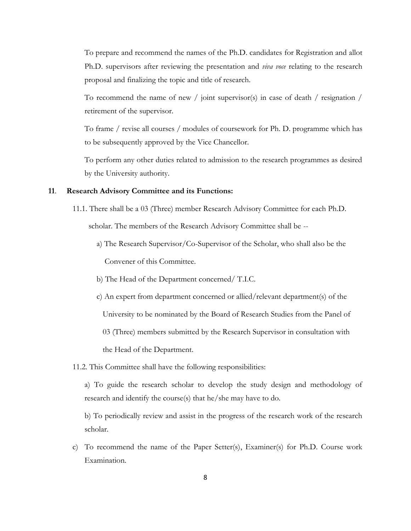To prepare and recommend the names of the Ph.D. candidates for Registration and allot Ph.D. supervisors after reviewing the presentation and *viva voce* relating to the research proposal and finalizing the topic and title of research.

To recommend the name of new / joint supervisor(s) in case of death / resignation / retirement of the supervisor.

To frame / revise all courses / modules of coursework for Ph. D. programme which has to be subsequently approved by the Vice Chancellor.

To perform any other duties related to admission to the research programmes as desired by the University authority.

#### **11**. **Research Advisory Committee and its Functions:**

- 11.1. There shall be a 03 (Three) member Research Advisory Committee for each Ph.D. scholar. The members of the Research Advisory Committee shall be -
	- a) The Research Supervisor/Co-Supervisor of the Scholar, who shallalso be the Convener of this Committee.
	- b) The Head of the Department concerned/ T.I.C.
	- c) An expert from department concerned or allied/relevant department(s) of the

University to be nominated by the Board of Research Studies from the Panel of

03 (Three) members submitted by the Research Supervisor in consultation with

the Head of the Department.

11.2. This Committee shall have the following responsibilities:

a) To guide the research scholar to develop the study design and methodology of research and identify the course(s) that he/she may have to do.

b) To periodically review and assist in the progress of the research work of the research scholar.

c) To recommend the name of the Paper Setter(s), Examiner(s) for Ph.D. Course work Examination.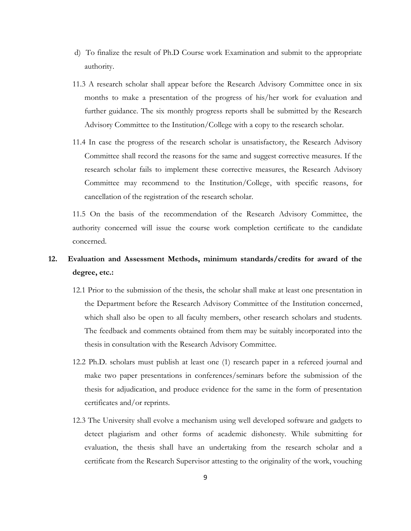- d) To finalize the result of Ph.D Course work Examination and submit to the appropriate authority.
- 11.3 A research scholar shall appear before the Research Advisory Committee once in six months to make a presentation of the progress of his/her work for evaluation and further guidance. The six monthly progress reports shall be submitted by the Research Advisory Committee to the Institution/College with a copy to the research scholar.
- 11.4 In case the progress of the research scholar is unsatisfactory, the Research Advisory Committee shall record the reasons for the same and suggest corrective measures. If the research scholar fails to implement these corrective measures, the Research Advisory Committee may recommend to the Institution/College, with specific reasons, for cancellation of the registration of the research scholar.

11.5 On the basis of the recommendation of the Research Advisory Committee, the authority concerned will issue the course work completion certificate to the candidate concerned.

## **12. Evaluation and Assessment Methods, minimum standards/credits for award of the degree, etc.:**

- 12.1 Prior to the submission of the thesis, the scholar shall make at least one presentation in the Department before the Research Advisory Committee of the Institution concerned, which shall also be open to all faculty members, other research scholars and students. The feedback and comments obtained from them may be suitably incorporated into the thesis in consultation with the Research Advisory Committee.
- 12.2 Ph.D. scholars must publish at least one (1) research paper in arefereed journal and make two paper presentations in conferences/seminars before the submission of the thesis for adjudication, and produce evidence for the same in the form of presentation certificates and/or reprints.
- 12.3 The University shall evolve a mechanism using well developed software and gadgets to detect plagiarism and other forms of academic dishonesty. While submitting for evaluation, the thesis shall have an undertaking from the research scholar and a certificate from the Research Supervisor attesting to the originality of the work, vouching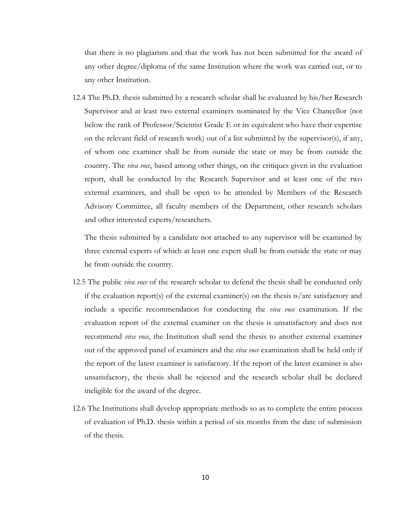that there is no plagiarism and that the work has not been submitted for the award of any other degree/diploma of the same Institution where the work was carried out, or to any other Institution.

12.4 The Ph.D. thesis submitted by a research scholar shall be evaluated by his/her Research Supervisor and at least two external examiners nominated by the Vice Chancellor (not below the rank of Professor/Scientist Grade E or its equivalent who have their expertise on the relevant field of research work) out of a list submitted by the supervisor(s), if any, of whom one examiner shall be from outside the state or may be from outside the country. The *viva voce*, based among other things, on the critiques given in the evaluation report, shall be conducted by the Research Supervisor and at least one of the two external examiners, and shall be open to be attended by Members of the Research Advisory Committee, all faculty members of the Department, other research scholars and other interested experts/researchers.

The thesis submitted by a candidate not attached to any supervisor will be examined by three external experts of which at least one expert shall be from outside the state or may be from outside the country.

- 12.5 The public *viva voce* of the research scholar to defend the thesis shall be conducted only if the evaluation report(s) of the external examiner(s) on the thesis is/are satisfactory and include a specific recommendation for conducting the *viva voce* examination. If the evaluation report of the external examiner on the thesis is unsatisfactory and does not recommend *viva voce*, the Institution shall send the thesis to another external examiner out of the approved panel of examiners and the *viva voce* examination shall be held only if the report of the latest examiner is satisfactory. If the report of the latest examiner is also unsatisfactory, the thesis shall be rejected and the research scholar shall be declared ineligible for the award of the degree.
- 12.6 The Institutions shall develop appropriate methods so as to complete the entire process of evaluation of Ph.D. thesis within a period of six months from the date of submission of the thesis.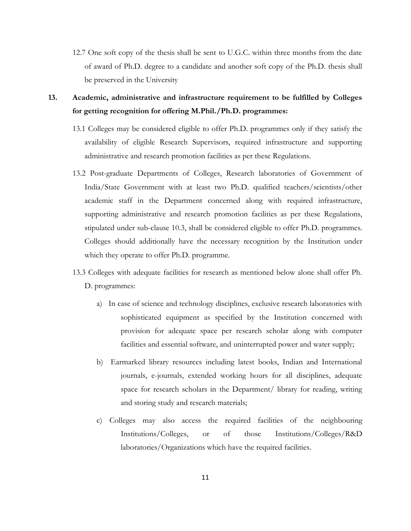12.7 One soft copy of the thesis shall be sent to U.G.C. within three months from the date of award of Ph.D. degree to a candidate and another soft copy of the Ph.D. thesis shall be preserved in the University

**13. Academic, administrative and infrastructure requirement to be fulfilled by Colleges for getting recognition for offering M.Phil./Ph.D. programmes:**

- 13.1 Colleges may be considered eligible to offer Ph.D. programmes only if they satisfy the availability of eligible Research Supervisors, required infrastructure and supporting administrative and research promotion facilities as per these Regulations.
- 13.2 Post-graduate Departments of Colleges, Research laboratories of Government of India/State Government with at least two Ph.D. qualified teachers/scientists/other academic staff in the Department concerned along with required infrastructure, supporting administrative and research promotion facilities as per these Regulations, stipulated under sub-clause 10.3, shall be considered eligible to offer Ph.D. programmes. Colleges should additionally have the necessary recognition by the Institution under which they operate to offer Ph.D. programme.
- 13.3 Colleges with adequate facilities for research as mentioned below alone shall offer Ph. D. programmes:
	- a) In case of science and technology disciplines, exclusive research laboratories with sophisticated equipment as specified by the Institution concerned with provision for adequate space per research scholar along with computer facilities and essential software, and uninterrupted power and water supply;
	- b) Earmarked library resources including latest books, Indian and International journals, e-journals, extended working hours for all disciplines, adequate space for research scholars in the Department/ library for reading, writing and storing study and research materials;
	- c) Colleges may also access the required facilities of the neighbouring Institutions/Colleges, or of those Institutions/Colleges/R&D laboratories/Organizations which have the required facilities.